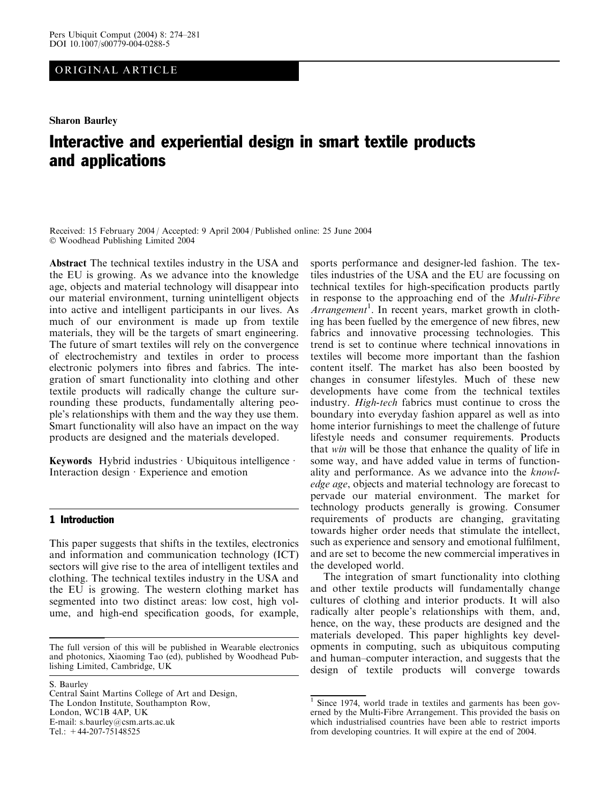# ORIGINAL ARTICLE

## Sharon Baurley

# Interactive and experiential design in smart textile products and applications

Received: 15 February 2004 / Accepted: 9 April 2004 / Published online: 25 June 2004 Woodhead Publishing Limited 2004

Abstract The technical textiles industry in the USA and the EU is growing. As we advance into the knowledge age, objects and material technology will disappear into our material environment, turning unintelligent objects into active and intelligent participants in our lives. As much of our environment is made up from textile materials, they will be the targets of smart engineering. The future of smart textiles will rely on the convergence of electrochemistry and textiles in order to process electronic polymers into fibres and fabrics. The integration of smart functionality into clothing and other textile products will radically change the culture surrounding these products, fundamentally altering people's relationships with them and the way they use them. Smart functionality will also have an impact on the way products are designed and the materials developed.

Keywords Hybrid industries  $\cdot$  Ubiquitous intelligence  $\cdot$ Interaction design · Experience and emotion

## 1 Introduction

This paper suggests that shifts in the textiles, electronics and information and communication technology (ICT) sectors will give rise to the area of intelligent textiles and clothing. The technical textiles industry in the USA and the EU is growing. The western clothing market has segmented into two distinct areas: low cost, high volume, and high-end specification goods, for example,

S. Baurley

Central Saint Martins College of Art and Design, The London Institute, Southampton Row, London, WC1B 4AP, UK E-mail: s.baurley@csm.arts.ac.uk Tel.:  $+44-207-75148525$ 

sports performance and designer-led fashion. The textiles industries of the USA and the EU are focussing on technical textiles for high-specification products partly in response to the approaching end of the Multi-Fibre  $\textit{Arrangement}^1$ . In recent years, market growth in clothing has been fuelled by the emergence of new fibres, new fabrics and innovative processing technologies. This trend is set to continue where technical innovations in textiles will become more important than the fashion content itself. The market has also been boosted by changes in consumer lifestyles. Much of these new developments have come from the technical textiles industry. High-tech fabrics must continue to cross the boundary into everyday fashion apparel as well as into home interior furnishings to meet the challenge of future lifestyle needs and consumer requirements. Products that win will be those that enhance the quality of life in some way, and have added value in terms of functionality and performance. As we advance into the knowledge age, objects and material technology are forecast to pervade our material environment. The market for technology products generally is growing. Consumer requirements of products are changing, gravitating towards higher order needs that stimulate the intellect, such as experience and sensory and emotional fulfilment, and are set to become the new commercial imperatives in the developed world.

The integration of smart functionality into clothing and other textile products will fundamentally change cultures of clothing and interior products. It will also radically alter people's relationships with them, and, hence, on the way, these products are designed and the materials developed. This paper highlights key developments in computing, such as ubiquitous computing and human–computer interaction, and suggests that the design of textile products will converge towards

The full version of this will be published in Wearable electronics and photonics, Xiaoming Tao (ed), published by Woodhead Publishing Limited, Cambridge, UK

 $1$  Since 1974, world trade in textiles and garments has been governed by the Multi-Fibre Arrangement. This provided the basis on which industrialised countries have been able to restrict imports from developing countries. It will expire at the end of 2004.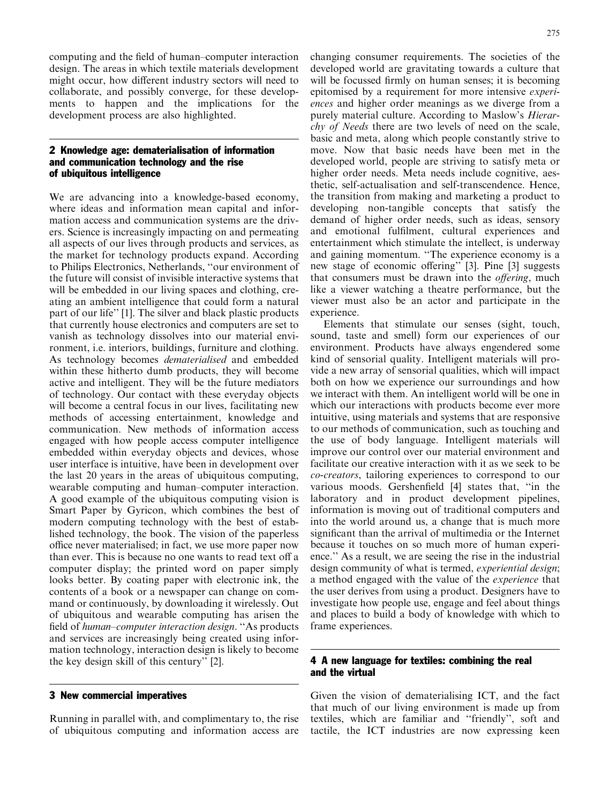computing and the field of human–computer interaction design. The areas in which textile materials development might occur, how different industry sectors will need to collaborate, and possibly converge, for these developments to happen and the implications for the development process are also highlighted.

# 2 Knowledge age: dematerialisation of information and communication technology and the rise of ubiquitous intelligence

We are advancing into a knowledge-based economy, where ideas and information mean capital and information access and communication systems are the drivers. Science is increasingly impacting on and permeating all aspects of our lives through products and services, as the market for technology products expand. According to Philips Electronics, Netherlands, ''our environment of the future will consist of invisible interactive systems that will be embedded in our living spaces and clothing, creating an ambient intelligence that could form a natural part of our life'' [1]. The silver and black plastic products that currently house electronics and computers are set to vanish as technology dissolves into our material environment, i.e. interiors, buildings, furniture and clothing. As technology becomes dematerialised and embedded within these hitherto dumb products, they will become active and intelligent. They will be the future mediators of technology. Our contact with these everyday objects will become a central focus in our lives, facilitating new methods of accessing entertainment, knowledge and communication. New methods of information access engaged with how people access computer intelligence embedded within everyday objects and devices, whose user interface is intuitive, have been in development over the last 20 years in the areas of ubiquitous computing, wearable computing and human–computer interaction. A good example of the ubiquitous computing vision is Smart Paper by Gyricon, which combines the best of modern computing technology with the best of established technology, the book. The vision of the paperless office never materialised; in fact, we use more paper now than ever. This is because no one wants to read text off a computer display; the printed word on paper simply looks better. By coating paper with electronic ink, the contents of a book or a newspaper can change on command or continuously, by downloading it wirelessly. Out of ubiquitous and wearable computing has arisen the field of human–computer interaction design. ''As products and services are increasingly being created using information technology, interaction design is likely to become the key design skill of this century'' [2].

#### 3 New commercial imperatives

Running in parallel with, and complimentary to, the rise of ubiquitous computing and information access are changing consumer requirements. The societies of the developed world are gravitating towards a culture that will be focussed firmly on human senses; it is becoming epitomised by a requirement for more intensive experiences and higher order meanings as we diverge from a purely material culture. According to Maslow's Hierarchy of Needs there are two levels of need on the scale, basic and meta, along which people constantly strive to move. Now that basic needs have been met in the developed world, people are striving to satisfy meta or higher order needs. Meta needs include cognitive, aesthetic, self-actualisation and self-transcendence. Hence, the transition from making and marketing a product to developing non-tangible concepts that satisfy the demand of higher order needs, such as ideas, sensory and emotional fulfilment, cultural experiences and entertainment which stimulate the intellect, is underway and gaining momentum. ''The experience economy is a new stage of economic offering'' [3]. Pine [3] suggests that consumers must be drawn into the *offering*, much like a viewer watching a theatre performance, but the viewer must also be an actor and participate in the experience.

Elements that stimulate our senses (sight, touch, sound, taste and smell) form our experiences of our environment. Products have always engendered some kind of sensorial quality. Intelligent materials will provide a new array of sensorial qualities, which will impact both on how we experience our surroundings and how we interact with them. An intelligent world will be one in which our interactions with products become ever more intuitive, using materials and systems that are responsive to our methods of communication, such as touching and the use of body language. Intelligent materials will improve our control over our material environment and facilitate our creative interaction with it as we seek to be co-creators, tailoring experiences to correspond to our various moods. Gershenfield [4] states that, ''in the laboratory and in product development pipelines, information is moving out of traditional computers and into the world around us, a change that is much more significant than the arrival of multimedia or the Internet because it touches on so much more of human experience.'' As a result, we are seeing the rise in the industrial design community of what is termed, *experiential design*; a method engaged with the value of the experience that the user derives from using a product. Designers have to investigate how people use, engage and feel about things and places to build a body of knowledge with which to frame experiences.

## 4 A new language for textiles: combining the real and the virtual

Given the vision of dematerialising ICT, and the fact that much of our living environment is made up from textiles, which are familiar and ''friendly'', soft and tactile, the ICT industries are now expressing keen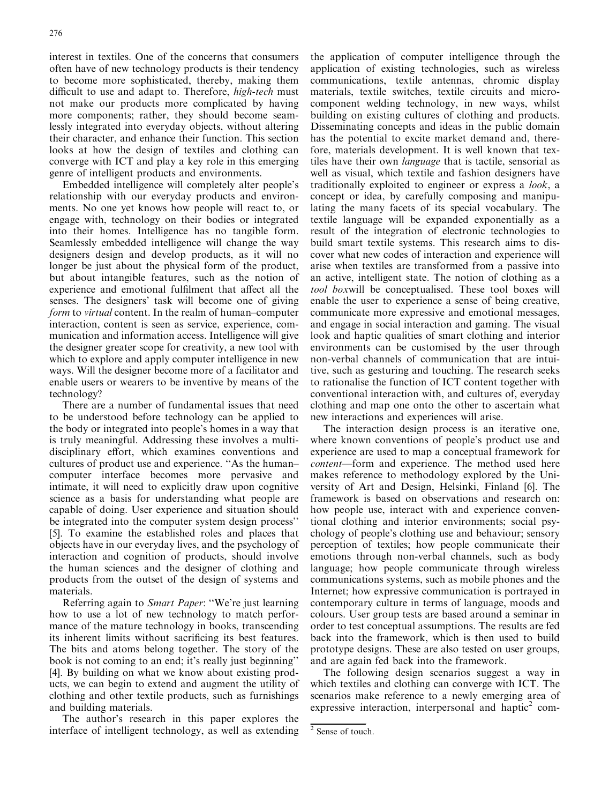interest in textiles. One of the concerns that consumers often have of new technology products is their tendency to become more sophisticated, thereby, making them difficult to use and adapt to. Therefore, high-tech must not make our products more complicated by having more components; rather, they should become seamlessly integrated into everyday objects, without altering their character, and enhance their function. This section looks at how the design of textiles and clothing can converge with ICT and play a key role in this emerging genre of intelligent products and environments.

Embedded intelligence will completely alter people's relationship with our everyday products and environments. No one yet knows how people will react to, or engage with, technology on their bodies or integrated into their homes. Intelligence has no tangible form. Seamlessly embedded intelligence will change the way designers design and develop products, as it will no longer be just about the physical form of the product, but about intangible features, such as the notion of experience and emotional fulfilment that affect all the senses. The designers' task will become one of giving form to *virtual* content. In the realm of human–computer interaction, content is seen as service, experience, communication and information access. Intelligence will give the designer greater scope for creativity, a new tool with which to explore and apply computer intelligence in new ways. Will the designer become more of a facilitator and enable users or wearers to be inventive by means of the technology?

There are a number of fundamental issues that need to be understood before technology can be applied to the body or integrated into people's homes in a way that is truly meaningful. Addressing these involves a multidisciplinary effort, which examines conventions and cultures of product use and experience. ''As the human– computer interface becomes more pervasive and intimate, it will need to explicitly draw upon cognitive science as a basis for understanding what people are capable of doing. User experience and situation should be integrated into the computer system design process'' [5]. To examine the established roles and places that objects have in our everyday lives, and the psychology of interaction and cognition of products, should involve the human sciences and the designer of clothing and products from the outset of the design of systems and materials.

Referring again to Smart Paper: ''We're just learning how to use a lot of new technology to match performance of the mature technology in books, transcending its inherent limits without sacrificing its best features. The bits and atoms belong together. The story of the book is not coming to an end; it's really just beginning'' [4]. By building on what we know about existing products, we can begin to extend and augment the utility of clothing and other textile products, such as furnishings and building materials.

The author's research in this paper explores the interface of intelligent technology, as well as extending

the application of computer intelligence through the application of existing technologies, such as wireless communications, textile antennas, chromic display materials, textile switches, textile circuits and microcomponent welding technology, in new ways, whilst building on existing cultures of clothing and products. Disseminating concepts and ideas in the public domain has the potential to excite market demand and, therefore, materials development. It is well known that textiles have their own *language* that is tactile, sensorial as well as visual, which textile and fashion designers have traditionally exploited to engineer or express a look, a concept or idea, by carefully composing and manipulating the many facets of its special vocabulary. The textile language will be expanded exponentially as a result of the integration of electronic technologies to build smart textile systems. This research aims to discover what new codes of interaction and experience will arise when textiles are transformed from a passive into an active, intelligent state. The notion of clothing as a tool boxwill be conceptualised. These tool boxes will enable the user to experience a sense of being creative, communicate more expressive and emotional messages, and engage in social interaction and gaming. The visual look and haptic qualities of smart clothing and interior environments can be customised by the user through non-verbal channels of communication that are intuitive, such as gesturing and touching. The research seeks to rationalise the function of ICT content together with conventional interaction with, and cultures of, everyday clothing and map one onto the other to ascertain what new interactions and experiences will arise.

The interaction design process is an iterative one, where known conventions of people's product use and experience are used to map a conceptual framework for content—form and experience. The method used here makes reference to methodology explored by the University of Art and Design, Helsinki, Finland [6]. The framework is based on observations and research on: how people use, interact with and experience conventional clothing and interior environments; social psychology of people's clothing use and behaviour; sensory perception of textiles; how people communicate their emotions through non-verbal channels, such as body language; how people communicate through wireless communications systems, such as mobile phones and the Internet; how expressive communication is portrayed in contemporary culture in terms of language, moods and colours. User group tests are based around a seminar in order to test conceptual assumptions. The results are fed back into the framework, which is then used to build prototype designs. These are also tested on user groups, and are again fed back into the framework.

The following design scenarios suggest a way in which textiles and clothing can converge with ICT. The scenarios make reference to a newly emerging area of expressive interaction, interpersonal and haptic<sup>2</sup> com-

<sup>2</sup> Sense of touch.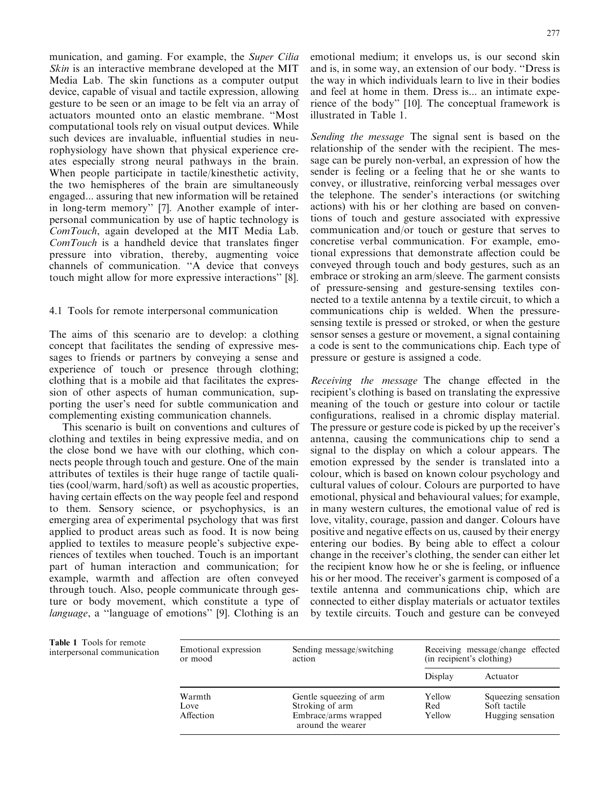munication, and gaming. For example, the Super Cilia Skin is an interactive membrane developed at the MIT Media Lab. The skin functions as a computer output device, capable of visual and tactile expression, allowing gesture to be seen or an image to be felt via an array of actuators mounted onto an elastic membrane. ''Most computational tools rely on visual output devices. While such devices are invaluable, influential studies in neurophysiology have shown that physical experience creates especially strong neural pathways in the brain. When people participate in tactile/kinesthetic activity, the two hemispheres of the brain are simultaneously engaged... assuring that new information will be retained in long-term memory'' [7]. Another example of interpersonal communication by use of haptic technology is ComTouch, again developed at the MIT Media Lab. ComTouch is a handheld device that translates finger pressure into vibration, thereby, augmenting voice channels of communication. ''A device that conveys touch might allow for more expressive interactions'' [8].

#### 4.1 Tools for remote interpersonal communication

The aims of this scenario are to develop: a clothing concept that facilitates the sending of expressive messages to friends or partners by conveying a sense and experience of touch or presence through clothing; clothing that is a mobile aid that facilitates the expression of other aspects of human communication, supporting the user's need for subtle communication and complementing existing communication channels.

This scenario is built on conventions and cultures of clothing and textiles in being expressive media, and on the close bond we have with our clothing, which connects people through touch and gesture. One of the main attributes of textiles is their huge range of tactile qualities (cool/warm, hard/soft) as well as acoustic properties, having certain effects on the way people feel and respond to them. Sensory science, or psychophysics, is an emerging area of experimental psychology that was first applied to product areas such as food. It is now being applied to textiles to measure people's subjective experiences of textiles when touched. Touch is an important part of human interaction and communication; for example, warmth and affection are often conveyed through touch. Also, people communicate through gesture or body movement, which constitute a type of language, a "language of emotions" [9]. Clothing is an

Table 1 Tools for remote interpersonal communication emotional medium; it envelops us, is our second skin and is, in some way, an extension of our body. ''Dress is the way in which individuals learn to live in their bodies and feel at home in them. Dress is... an intimate experience of the body'' [10]. The conceptual framework is illustrated in Table 1.

Sending the message The signal sent is based on the relationship of the sender with the recipient. The message can be purely non-verbal, an expression of how the sender is feeling or a feeling that he or she wants to convey, or illustrative, reinforcing verbal messages over the telephone. The sender's interactions (or switching actions) with his or her clothing are based on conventions of touch and gesture associated with expressive communication and/or touch or gesture that serves to concretise verbal communication. For example, emotional expressions that demonstrate affection could be conveyed through touch and body gestures, such as an embrace or stroking an arm/sleeve. The garment consists of pressure-sensing and gesture-sensing textiles connected to a textile antenna by a textile circuit, to which a communications chip is welded. When the pressuresensing textile is pressed or stroked, or when the gesture sensor senses a gesture or movement, a signal containing a code is sent to the communications chip. Each type of pressure or gesture is assigned a code.

Receiving the message The change effected in the recipient's clothing is based on translating the expressive meaning of the touch or gesture into colour or tactile configurations, realised in a chromic display material. The pressure or gesture code is picked by up the receiver's antenna, causing the communications chip to send a signal to the display on which a colour appears. The emotion expressed by the sender is translated into a colour, which is based on known colour psychology and cultural values of colour. Colours are purported to have emotional, physical and behavioural values; for example, in many western cultures, the emotional value of red is love, vitality, courage, passion and danger. Colours have positive and negative effects on us, caused by their energy entering our bodies. By being able to effect a colour change in the receiver's clothing, the sender can either let the recipient know how he or she is feeling, or influence his or her mood. The receiver's garment is composed of a textile antenna and communications chip, which are connected to either display materials or actuator textiles by textile circuits. Touch and gesture can be conveyed

| Emotional expression<br>or mood | Sending message/switching<br>action                                                     | Receiving message/change effected<br>(in recipient's clothing) |                                                          |
|---------------------------------|-----------------------------------------------------------------------------------------|----------------------------------------------------------------|----------------------------------------------------------|
|                                 |                                                                                         | Display                                                        | Actuator                                                 |
| Warmth<br>Love<br>Affection     | Gentle squeezing of arm<br>Stroking of arm<br>Embrace/arms wrapped<br>around the wearer | Yellow<br>Red<br>Yellow                                        | Squeezing sensation<br>Soft tactile<br>Hugging sensation |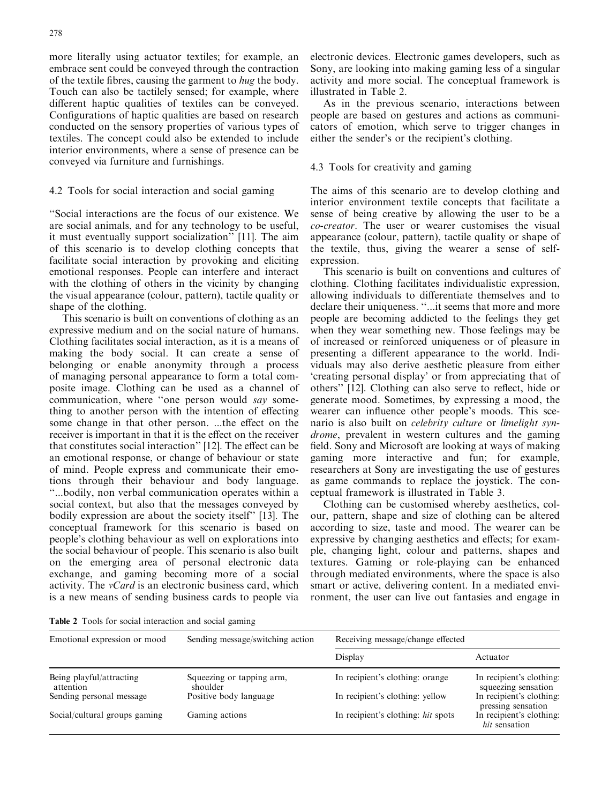more literally using actuator textiles; for example, an embrace sent could be conveyed through the contraction of the textile fibres, causing the garment to hug the body. Touch can also be tactilely sensed; for example, where different haptic qualities of textiles can be conveyed. Configurations of haptic qualities are based on research conducted on the sensory properties of various types of textiles. The concept could also be extended to include interior environments, where a sense of presence can be conveyed via furniture and furnishings.

## 4.2 Tools for social interaction and social gaming

''Social interactions are the focus of our existence. We are social animals, and for any technology to be useful, it must eventually support socialization'' [11]. The aim of this scenario is to develop clothing concepts that facilitate social interaction by provoking and eliciting emotional responses. People can interfere and interact with the clothing of others in the vicinity by changing the visual appearance (colour, pattern), tactile quality or shape of the clothing.

This scenario is built on conventions of clothing as an expressive medium and on the social nature of humans. Clothing facilitates social interaction, as it is a means of making the body social. It can create a sense of belonging or enable anonymity through a process of managing personal appearance to form a total composite image. Clothing can be used as a channel of communication, where ''one person would say something to another person with the intention of effecting some change in that other person. ...the effect on the receiver is important in that it is the effect on the receiver that constitutes social interaction'' [12]. The effect can be an emotional response, or change of behaviour or state of mind. People express and communicate their emotions through their behaviour and body language. ''...bodily, non verbal communication operates within a social context, but also that the messages conveyed by bodily expression are about the society itself'' [13]. The conceptual framework for this scenario is based on people's clothing behaviour as well on explorations into the social behaviour of people. This scenario is also built on the emerging area of personal electronic data exchange, and gaming becoming more of a social activity. The  $vCard$  is an electronic business card, which is a new means of sending business cards to people via electronic devices. Electronic games developers, such as Sony, are looking into making gaming less of a singular activity and more social. The conceptual framework is illustrated in Table 2.

As in the previous scenario, interactions between people are based on gestures and actions as communicators of emotion, which serve to trigger changes in either the sender's or the recipient's clothing.

## 4.3 Tools for creativity and gaming

The aims of this scenario are to develop clothing and interior environment textile concepts that facilitate a sense of being creative by allowing the user to be a co-creator. The user or wearer customises the visual appearance (colour, pattern), tactile quality or shape of the textile, thus, giving the wearer a sense of selfexpression.

This scenario is built on conventions and cultures of clothing. Clothing facilitates individualistic expression, allowing individuals to differentiate themselves and to declare their uniqueness. ''...it seems that more and more people are becoming addicted to the feelings they get when they wear something new. Those feelings may be of increased or reinforced uniqueness or of pleasure in presenting a different appearance to the world. Individuals may also derive aesthetic pleasure from either 'creating personal display' or from appreciating that of others'' [12]. Clothing can also serve to reflect, hide or generate mood. Sometimes, by expressing a mood, the wearer can influence other people's moods. This scenario is also built on *celebrity culture* or *limelight syn*drome, prevalent in western cultures and the gaming field. Sony and Microsoft are looking at ways of making gaming more interactive and fun; for example, researchers at Sony are investigating the use of gestures as game commands to replace the joystick. The conceptual framework is illustrated in Table 3.

Clothing can be customised whereby aesthetics, colour, pattern, shape and size of clothing can be altered according to size, taste and mood. The wearer can be expressive by changing aesthetics and effects; for example, changing light, colour and patterns, shapes and textures. Gaming or role-playing can be enhanced through mediated environments, where the space is also smart or active, delivering content. In a mediated environment, the user can live out fantasies and engage in

Table 2 Tools for social interaction and social gaming

| Emotional expression or mood          | Sending message/switching action      | Receiving message/change effected  |                                                 |  |
|---------------------------------------|---------------------------------------|------------------------------------|-------------------------------------------------|--|
|                                       |                                       | Display                            | Actuator                                        |  |
| Being playful/attracting<br>attention | Squeezing or tapping arm,<br>shoulder | In recipient's clothing: orange    | In recipient's clothing:<br>squeezing sensation |  |
| Sending personal message              | Positive body language                | In recipient's clothing: yellow    | In recipient's clothing:<br>pressing sensation  |  |
| Social/cultural groups gaming         | Gaming actions                        | In recipient's clothing: hit spots | In recipient's clothing:<br>hit sensation       |  |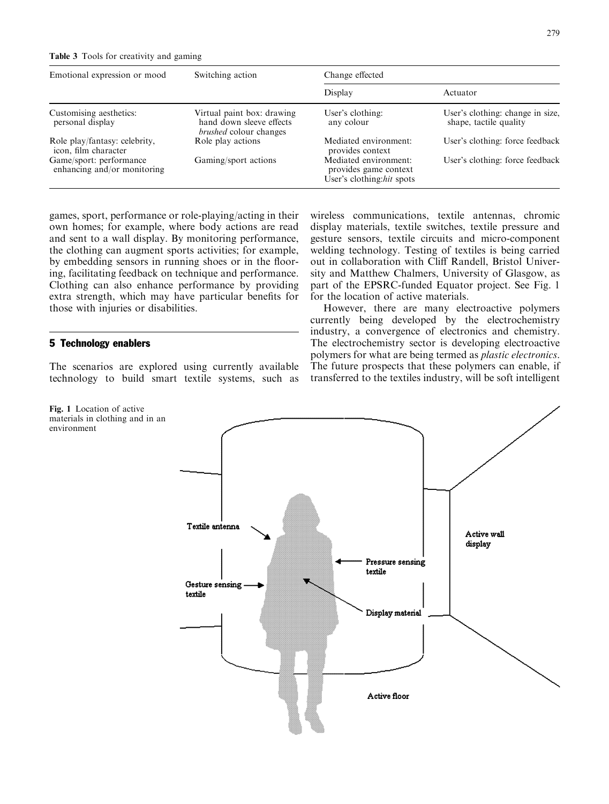#### Table 3 Tools for creativity and gaming

| Emotional expression or mood                           | Switching action                                                                        | Change effected                                                                     |                                                            |
|--------------------------------------------------------|-----------------------------------------------------------------------------------------|-------------------------------------------------------------------------------------|------------------------------------------------------------|
|                                                        |                                                                                         | Display                                                                             | Actuator                                                   |
| Customising aesthetics:<br>personal display            | Virtual paint box: drawing<br>hand down sleeve effects<br><i>brushed</i> colour changes | User's clothing:<br>any colour                                                      | User's clothing: change in size,<br>shape, tactile quality |
| Role play/fantasy: celebrity,<br>icon, film character  | Role play actions                                                                       | Mediated environment:<br>provides context                                           | User's clothing: force feedback                            |
| Game/sport: performance<br>enhancing and/or monitoring | Gaming/sport actions                                                                    | Mediated environment:<br>provides game context<br>User's clothing: <i>hit</i> spots | User's clothing: force feedback                            |

games, sport, performance or role-playing/acting in their own homes; for example, where body actions are read and sent to a wall display. By monitoring performance, the clothing can augment sports activities; for example, by embedding sensors in running shoes or in the flooring, facilitating feedback on technique and performance. Clothing can also enhance performance by providing extra strength, which may have particular benefits for those with injuries or disabilities.

## 5 Technology enablers

The scenarios are explored using currently available technology to build smart textile systems, such as

Fig. 1 Location of active materials in clothing and in an environment

wireless communications, textile antennas, chromic display materials, textile switches, textile pressure and gesture sensors, textile circuits and micro-component welding technology. Testing of textiles is being carried out in collaboration with Cliff Randell, Bristol University and Matthew Chalmers, University of Glasgow, as part of the EPSRC-funded Equator project. See Fig. 1 for the location of active materials.

However, there are many electroactive polymers currently being developed by the electrochemistry industry, a convergence of electronics and chemistry. The electrochemistry sector is developing electroactive polymers for what are being termed as plastic electronics. The future prospects that these polymers can enable, if transferred to the textiles industry, will be soft intelligent

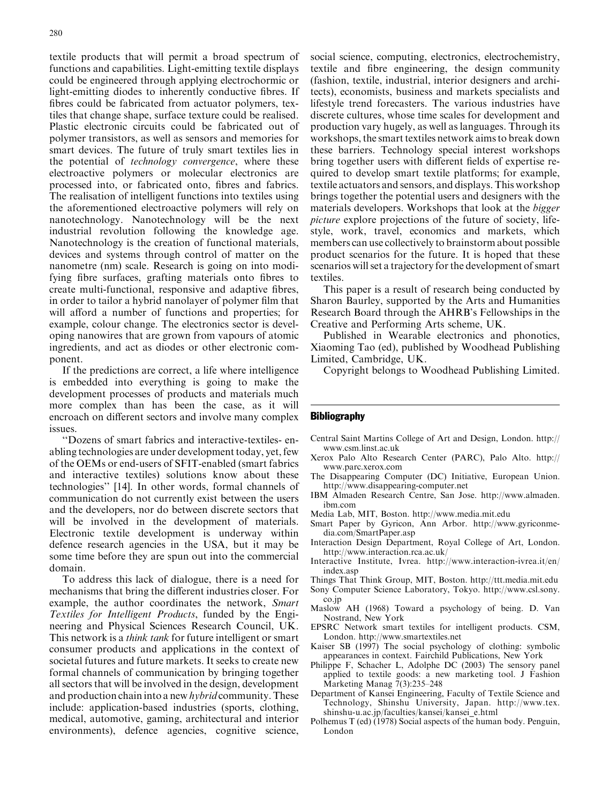textile products that will permit a broad spectrum of functions and capabilities. Light-emitting textile displays could be engineered through applying electrochormic or light-emitting diodes to inherently conductive fibres. If fibres could be fabricated from actuator polymers, textiles that change shape, surface texture could be realised. Plastic electronic circuits could be fabricated out of polymer transistors, as well as sensors and memories for smart devices. The future of truly smart textiles lies in the potential of technology convergence, where these electroactive polymers or molecular electronics are processed into, or fabricated onto, fibres and fabrics. The realisation of intelligent functions into textiles using the aforementioned electroactive polymers will rely on nanotechnology. Nanotechnology will be the next industrial revolution following the knowledge age. Nanotechnology is the creation of functional materials, devices and systems through control of matter on the nanometre (nm) scale. Research is going on into modifying fibre surfaces, grafting materials onto fibres to create multi-functional, responsive and adaptive fibres, in order to tailor a hybrid nanolayer of polymer film that will afford a number of functions and properties; for example, colour change. The electronics sector is developing nanowires that are grown from vapours of atomic ingredients, and act as diodes or other electronic component.

If the predictions are correct, a life where intelligence is embedded into everything is going to make the development processes of products and materials much more complex than has been the case, as it will encroach on different sectors and involve many complex issues.

''Dozens of smart fabrics and interactive-textiles- enabling technologies are under development today, yet, few of the OEMs or end-users of SFIT-enabled (smart fabrics and interactive textiles) solutions know about these technologies'' [14]. In other words, formal channels of communication do not currently exist between the users and the developers, nor do between discrete sectors that will be involved in the development of materials. Electronic textile development is underway within defence research agencies in the USA, but it may be some time before they are spun out into the commercial domain.

To address this lack of dialogue, there is a need for mechanisms that bring the different industries closer. For example, the author coordinates the network, Smart Textiles for Intelligent Products, funded by the Engineering and Physical Sciences Research Council, UK. This network is a *think tank* for future intelligent or smart consumer products and applications in the context of societal futures and future markets. It seeks to create new formal channels of communication by bringing together all sectors that will be involved in the design, development and production chain into a new *hybrid* community. These include: application-based industries (sports, clothing, medical, automotive, gaming, architectural and interior environments), defence agencies, cognitive science,

social science, computing, electronics, electrochemistry, textile and fibre engineering, the design community (fashion, textile, industrial, interior designers and architects), economists, business and markets specialists and lifestyle trend forecasters. The various industries have discrete cultures, whose time scales for development and production vary hugely, as well as languages. Through its workshops, the smart textiles network aims to break down these barriers. Technology special interest workshops bring together users with different fields of expertise required to develop smart textile platforms; for example, textile actuators and sensors, and displays. This workshop brings together the potential users and designers with the materials developers. Workshops that look at the bigger picture explore projections of the future of society, lifestyle, work, travel, economics and markets, which members can use collectively to brainstorm about possible product scenarios for the future. It is hoped that these scenarios will set a trajectory for the development of smart textiles.

This paper is a result of research being conducted by Sharon Baurley, supported by the Arts and Humanities Research Board through the AHRB's Fellowships in the Creative and Performing Arts scheme, UK.

Published in Wearable electronics and phonotics, Xiaoming Tao (ed), published by Woodhead Publishing Limited, Cambridge, UK.

Copyright belongs to Woodhead Publishing Limited.

#### **Bibliography**

- Central Saint Martins College of Art and Design, London. http:// www.csm.linst.ac.uk
- Xerox Palo Alto Research Center (PARC), Palo Alto. http:// www.parc.xerox.com
- The Disappearing Computer (DC) Initiative, European Union. http://www.disappearing-computer.net
- IBM Almaden Research Centre, San Jose. http://www.almaden. ibm.com
- Media Lab, MIT, Boston. http://www.media.mit.edu
- Smart Paper by Gyricon, Ann Arbor. http://www.gyriconmedia.com/SmartPaper.asp
- Interaction Design Department, Royal College of Art, London. http://www.interaction.rca.ac.uk/
- Interactive Institute, Ivrea. http://www.interaction-ivrea.it/en/ index.asp
- Things That Think Group, MIT, Boston. http://ttt.media.mit.edu
- Sony Computer Science Laboratory, Tokyo. http://www.csl.sony. co.jp
- Maslow AH (1968) Toward a psychology of being. D. Van Nostrand, New York
- EPSRC Network smart textiles for intelligent products. CSM, London. http://www.smartextiles.net
- Kaiser SB (1997) The social psychology of clothing: symbolic appearances in context. Fairchild Publications, New York
- Philippe F, Schacher L, Adolphe DC (2003) The sensory panel applied to textile goods: a new marketing tool. J Fashion Marketing Manag  $\frac{7}{3}$ :235-248
- Department of Kansei Engineering, Faculty of Textile Science and Technology, Shinshu University, Japan. http://www.tex. shinshu-u.ac.jp/faculties/kansei/kansei\_e.html
- Polhemus T (ed) (1978) Social aspects of the human body. Penguin, London